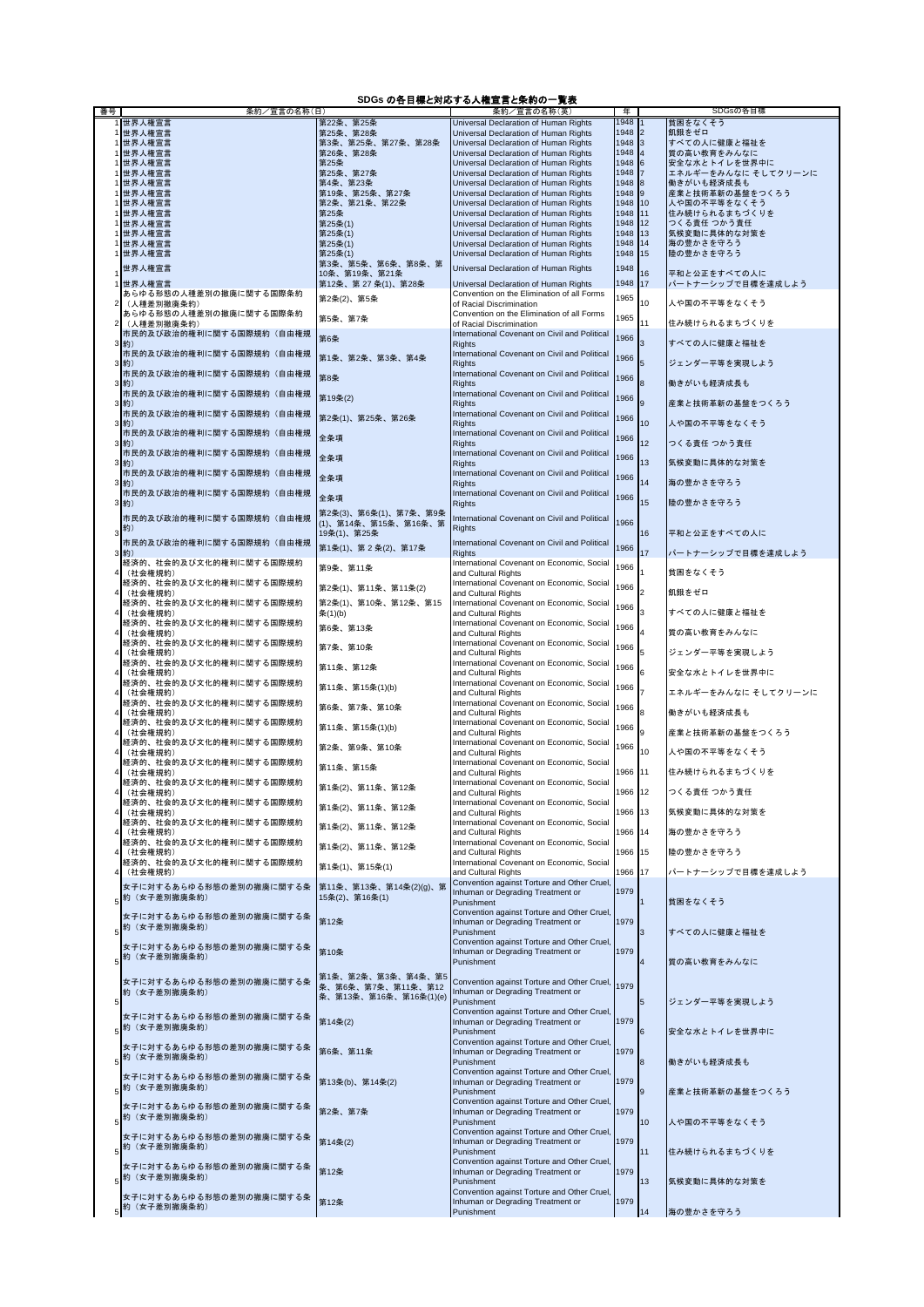## **SDGs** の各目標と対応する人権宣言と条約の一覧表

| 番号 | - - - - - - - - - - <i>-</i><br>条約/宣言の名称(日) |                              | .<br>条約/宣言の名称(英)                                                               | 年            |                  | SDGsの各目標                          |
|----|---------------------------------------------|------------------------------|--------------------------------------------------------------------------------|--------------|------------------|-----------------------------------|
|    | 1 世界人権宣言                                    | 第22条、第25条                    | Universal Declaration of Human Rights                                          | 1948         |                  | 貧困をなくそう                           |
|    | 1 世界人権宣言                                    | 第25条、第28条                    | Universal Declaration of Human Rights                                          | 1948         | $\overline{2}$   | 飢餓をゼロ                             |
|    | 1 世界人権宣言                                    | 第3条、第25条、第27条、第28条           | Universal Declaration of Human Rights                                          | 1948         | 3                | すべての人に健康と福祉を                      |
|    | 世界人権宣言                                      | 第26条、第28条                    | Universal Declaration of Human Rights                                          | 1948         | $\overline{4}$   | 質の高い教育をみんなに                       |
|    | 世界人権宣言                                      | 第25条                         | Universal Declaration of Human Rights                                          | 1948<br>1948 | 6                | 安全な水とトイレを世界中に                     |
|    | 世界人権宣言<br>世界人権宣言                            | 第25条、第27条<br>第4条、第23条        | Universal Declaration of Human Rights<br>Universal Declaration of Human Rights | 1948         | 8                | エネルギーをみんなに そしてクリーンに<br>働きがいも経済成長も |
|    | 1 世界人権宣言                                    | 第19条、第25条、第27条               | Universal Declaration of Human Rights                                          | $1948$ 9     |                  | 産業と技術革新の基盤をつくろう                   |
|    | 1 世界人権宣言                                    | 第2条、第21条、第22条                | Universal Declaration of Human Rights                                          | 1948 10      |                  | 人や国の不平等をなくそう                      |
|    | 世界人権宣言                                      | 第25条                         | Universal Declaration of Human Rights                                          | 1948         | 11               | 住み続けられるまちづくりを                     |
|    | 世界人権宣言                                      | 第25条(1)                      | Universal Declaration of Human Rights                                          | 1948         | 12               | つくる責任 つかう責任                       |
|    | 世界人権宣言                                      | 第25条(1)                      | Universal Declaration of Human Rights                                          | 1948         | 13               | 気候変動に具体的な対策を                      |
|    | 世界人権宣言                                      | 第25条(1)                      | Universal Declaration of Human Rights                                          | 1948         | 14               | 海の豊かさを守ろう                         |
|    | 1 世界人権宣言                                    | 第25条(1)<br>第3条、第5条、第6条、第8条、第 | Universal Declaration of Human Rights                                          | 1948 15      |                  | 陸の豊かさを守ろう                         |
|    | 世界人権宣言                                      | 10条、第19条、第21条                | Universal Declaration of Human Rights                                          | 1948         | 16               | 平和と公正をすべての人に                      |
|    | 世界人権宣言                                      | 第12条、第27条(1)、第28条            | Universal Declaration of Human Rights                                          | 1948         | 17               | パートナーシップで目標を達成しよう                 |
|    | あらゆる形態の人種差別の撤廃に関する国際条約                      | 第2条(2)、第5条                   | Convention on the Elimination of all Forms                                     | 1965         |                  |                                   |
|    | (人種差別撤廃条約)                                  |                              | of Racial Discrimination                                                       |              | 10               | 人や国の不平等をなくそう                      |
|    | あらゆる形態の人種差別の撤廃に関する国際条約                      | 第5条、第7条                      | Convention on the Elimination of all Forms                                     | 1965         |                  |                                   |
|    | (人種差別撤廃条約)<br>市民的及び政治的権利に関する国際規約(自由権規       |                              | of Racial Discrimination<br>International Covenant on Civil and Political      |              | 11               | 住み続けられるまちづくりを                     |
|    | 3約)                                         | 第6条                          | <b>Rights</b>                                                                  | 1966         |                  | すべての人に健康と福祉を                      |
|    | 市民的及び政治的権利に関する国際規約(自由権規                     | 第1条、第2条、第3条、第4条              | International Covenant on Civil and Political                                  | 1966         |                  |                                   |
|    | 3 約)                                        |                              | <b>Rights</b>                                                                  |              |                  | ジェンダー平等を実現しよう                     |
|    | 市民的及び政治的権利に関する国際規約(自由権規                     | 第8条                          | International Covenant on Civil and Political                                  | 1966         |                  |                                   |
|    | 3約)<br>市民的及び政治的権利に関する国際規約(自由権規              |                              | <b>Rights</b><br>International Covenant on Civil and Political                 |              |                  | 働きがいも経済成長も                        |
|    | 3約)                                         | 第19条(2)                      | <b>Rights</b>                                                                  | 1966         |                  | 産業と技術革新の基盤をつくろう                   |
|    | 市民的及び政治的権利に関する国際規約(自由権規                     |                              | International Covenant on Civil and Political                                  |              |                  |                                   |
|    | 3約)                                         | 第2条(1)、第25条、第26条             | <b>Rights</b>                                                                  | 1966         | 10               | 人や国の不平等をなくそう                      |
|    | 市民的及び政治的権利に関する国際規約(自由権規                     | 全条項                          | International Covenant on Civil and Political                                  | 1966         |                  |                                   |
|    | 3 約)                                        |                              | <b>Rights</b>                                                                  |              | 12               | つくる責任 つかう責任                       |
|    | 市民的及び政治的権利に関する国際規約(自由権規<br>3約)              | 全条項                          | International Covenant on Civil and Political<br><b>Rights</b>                 | 1966         | 13               | 気候変動に具体的な対策を                      |
|    | 市民的及び政治的権利に関する国際規約(自由権規                     |                              | International Covenant on Civil and Political                                  |              |                  |                                   |
|    | 3約)                                         | 全条項                          | <b>Rights</b>                                                                  | 1966         | 14               | 海の豊かさを守ろう                         |
|    | 市民的及び政治的権利に関する国際規約(自由権規                     | 全条項                          | International Covenant on Civil and Political                                  | 1966         |                  |                                   |
|    | 3約)                                         |                              | <b>Rights</b>                                                                  |              | 15 <sup>15</sup> | 陸の豊かさを守ろう                         |
|    | 市民的及び政治的権利に関する国際規約(自由権規                     | 第2条(3)、第6条(1)、第7条、第9条        | International Covenant on Civil and Political                                  |              |                  |                                   |
|    | 約)                                          | (1)、第14条、第15条、第16条、第         | <b>Rights</b>                                                                  | 1966         | 16               | 平和と公正をすべての人に                      |
|    | 市民的及び政治的権利に関する国際規約(自由権規                     | 19条(1)、第25条                  | International Covenant on Civil and Political                                  |              |                  |                                   |
|    | 3約)                                         | 第1条(1)、第2条(2)、第17条           | <b>Rights</b>                                                                  | 1966         | 17               | パートナーシップで目標を達成しよう                 |
|    | 経済的、社会的及び文化的権利に関する国際規約                      |                              | International Covenant on Economic, Social                                     | 1966         |                  |                                   |
|    | (社会権規約)                                     | 第9条、第11条                     | and Cultural Rights                                                            |              |                  | 貧困をなくそう                           |
|    | 経済的、社会的及び文化的権利に関する国際規約                      | 第2条(1)、第11条、第11条(2)          | International Covenant on Economic, Social                                     | 1966         | b                |                                   |
|    | (社会権規約)                                     |                              | and Cultural Rights                                                            |              |                  | 飢餓をゼロ                             |
|    | 経済的、社会的及び文化的権利に関する国際規約<br>(社会権規約)           | 第2条(1)、第10条、第12条、第15         | International Covenant on Economic, Social<br>and Cultural Rights              | 1966         |                  | すべての人に健康と福祉を                      |
|    | 経済的、社会的及び文化的権利に関する国際規約                      | 条(1)(b)                      | International Covenant on Economic, Social                                     |              |                  |                                   |
|    | (社会権規約)                                     | 第6条、第13条                     | and Cultural Rights                                                            | 1966         |                  | 質の高い教育をみんなに                       |
|    | 経済的、社会的及び文化的権利に関する国際規約                      | 第7条、第10条                     | International Covenant on Economic, Social                                     | 1966         |                  |                                   |
|    | (社会権規約)                                     |                              | and Cultural Rights                                                            |              |                  | ジェンダー平等を実現しよう                     |
|    | 経済的、社会的及び文化的権利に関する国際規約                      | 第11条、第12条                    | International Covenant on Economic, Social                                     | 1966         |                  |                                   |
|    | (社会権規約)                                     |                              | and Cultural Rights                                                            |              |                  | 安全な水とトイレを世界中に                     |
|    | 経済的、社会的及び文化的権利に関する国際規約<br>(社会権規約)           | 第11条、第15条(1)(b)              | International Covenant on Economic, Social<br>and Cultural Rights              | 1966         |                  | エネルギーをみんなに そしてクリーンに               |
|    | 経済的、社会的及び文化的権利に関する国際規約                      |                              | International Covenant on Economic, Social                                     |              |                  |                                   |
|    | (社会権規約)                                     | 第6条、第7条、第10条                 | and Cultural Rights                                                            | 1966         |                  | 働きがいも経済成長も                        |
|    | 経済的、社会的及び文化的権利に関する国際規約                      | 第11条、第15条(1)(b)              | International Covenant on Economic, Social                                     | 1966         |                  |                                   |
|    | (社会権規約)                                     |                              | and Cultural Rights                                                            |              |                  | 産業と技術革新の基盤をつくろう                   |
|    | 経済的、社会的及び文化的権利に関する国際規約                      | 第2条、第9条、第10条                 | International Covenant on Economic, Social<br>and Cultural Rights              | 1966         | 10               | 人や国の不平等をなくそう                      |
|    | (社会権規約)<br>経済的、社会的及び文化的権利に関する国際規約           |                              | International Covenant on Economic, Social                                     |              |                  |                                   |
|    | (社会権規約)                                     | 第11条、第15条                    | and Cultural Rights                                                            | 1966 11      |                  | 住み続けられるまちづくりを                     |
|    | 経済的、社会的及び文化的権利に関する国際規約                      | 第1条(2)、第11条、第12条             | International Covenant on Economic, Social                                     |              |                  |                                   |
|    | (社会権規約)                                     |                              | and Cultural Rights                                                            | 1966 12      |                  | つくる責任 つかう責任                       |
|    | 経済的、社会的及び文化的権利に関する国際規約                      | 第1条(2)、第11条、第12条             | International Covenant on Economic, Social                                     |              |                  |                                   |
|    | (社会権規約)<br>経済的、社会的及び文化的権利に関する国際規約           |                              | and Cultural Rights<br>International Covenant on Economic, Social              | 1966 13      |                  | 気候変動に具体的な対策を                      |
|    | (社会権規約)                                     | 第1条(2)、第11条、第12条             | and Cultural Rights                                                            | 1966 14      |                  | 海の豊かさを守ろう                         |
|    | 経済的、社会的及び文化的権利に関する国際規約                      |                              | International Covenant on Economic, Social                                     |              |                  |                                   |
|    | (社会権規約)                                     | 第1条(2)、第11条、第12条             | and Cultural Rights                                                            | 1966         | 15               | 陸の豊かさを守ろう                         |
|    | 経済的、社会的及び文化的権利に関する国際規約                      | 第1条(1)、第15条(1)               | International Covenant on Economic, Social                                     |              |                  |                                   |
|    | (社会権規約)                                     |                              | and Cultural Rights<br>Convention against Torture and Other Cruel,             | 1966         | 17               | パートナーシップで目標を達成しよう                 |
|    | 女子に対するあらゆる形態の差別の撤廃に関する条                     | 第11条、第13条、第14条(2)(g)、第       | Inhuman or Degrading Treatment or                                              | 1979         |                  |                                   |
|    | 約 (女子差別撤廃条約)                                | 15条(2)、第16条(1)               | Punishment                                                                     |              |                  | 貧困をなくそう                           |
|    | 女子に対するあらゆる形態の差別の撤廃に関する条                     |                              | Convention against Torture and Other Cruel,                                    |              |                  |                                   |
|    | 5 <sup>346</sup> (女子差別撤廃条約)                 | 第12条                         | Inhuman or Degrading Treatment or                                              | 1979         |                  |                                   |
|    |                                             |                              | Punishment<br>Convention against Torture and Other Cruel,                      |              |                  | すべての人に健康と福祉を                      |
|    | 女子に対するあらゆる形態の差別の撤廃に関する条                     | 第10条                         | Inhuman or Degrading Treatment or                                              | 1979         |                  |                                   |
|    | 約 (女子差別撤廃条約)                                |                              | Punishment                                                                     |              |                  | 質の高い教育をみんなに                       |
|    |                                             | 第1条、第2条、第3条、第4条、第5           |                                                                                |              |                  |                                   |
|    | 女子に対するあらゆる形態の差別の撤廃に関する条                     | 条、第6条、第7条、第11条、第12           | Convention against Torture and Other Cruel,                                    | 1979         |                  |                                   |
|    | 約 (女子差別撤廃条約)                                | 条、第13条、第16条、第16条(1)(e)       | Inhuman or Degrading Treatment or<br>Punishment                                |              |                  | ジェンダー平等を実現しよう                     |
|    |                                             |                              | Convention against Torture and Other Cruel,                                    |              |                  |                                   |
|    | 女子に対するあらゆる形態の差別の撤廃に関する条                     | 第14条(2)                      | Inhuman or Degrading Treatment or                                              | 1979         |                  |                                   |
|    | 5 約 (女子差別撤廃条約)                              |                              | Punishment                                                                     |              |                  | 安全な水とトイレを世界中に                     |
|    | 女子に対するあらゆる形態の差別の撤廃に関する条                     |                              | Convention against Torture and Other Cruel,                                    |              |                  |                                   |
|    | 5 約 (女子差別撤廃条約)                              | 第6条、第11条                     | Inhuman or Degrading Treatment or<br>Punishment                                | 1979         |                  |                                   |
|    |                                             |                              | Convention against Torture and Other Cruel,                                    |              |                  | 働きがいも経済成長も                        |
|    | 女子に対するあらゆる形態の差別の撤廃に関する条                     | 第13条(b)、第14条(2)              | Inhuman or Degrading Treatment or                                              | 1979         |                  |                                   |
|    | 5 約 (女子差別撤廃条約)                              |                              | Punishment                                                                     |              |                  | 産業と技術革新の基盤をつくろう                   |
|    | 女子に対するあらゆる形態の差別の撤廃に関する条                     |                              | Convention against Torture and Other Cruel,                                    |              |                  |                                   |
|    | 約 (女子差別撤廃条約)                                | 第2条、第7条                      | Inhuman or Degrading Treatment or                                              | 1979         |                  |                                   |
|    |                                             |                              | Punishment<br>Convention against Torture and Other Cruel,                      |              | 10               | 人や国の不平等をなくそう                      |
|    | 女子に対するあらゆる形態の差別の撤廃に関する条                     | 第14条(2)                      | Inhuman or Degrading Treatment or                                              | 1979         |                  |                                   |
|    | 約(女子差別撤廃条約)                                 |                              | Punishment                                                                     |              | 11               | 住み続けられるまちづくりを                     |
|    |                                             |                              | Convention against Torture and Other Cruel,                                    |              |                  |                                   |
|    | 女子に対するあらゆる形態の差別の撤廃に関する条<br>5 約 (女子差別撤廃条約)   | 第12条                         | Inhuman or Degrading Treatment or                                              | 1979         |                  |                                   |
|    |                                             |                              | Punishment                                                                     |              | 13               | 気候変動に具体的な対策を                      |
|    | 女子に対するあらゆる形態の差別の撤廃に関する条                     | 第12条                         | Convention against Torture and Other Cruel,                                    | 1979         |                  |                                   |
|    | 5 約 (女子差別撤廃条約)                              |                              | Inhuman or Degrading Treatment or<br>Punishment                                |              | 14               | 海の豊かさを守ろう                         |
|    |                                             |                              |                                                                                |              |                  |                                   |